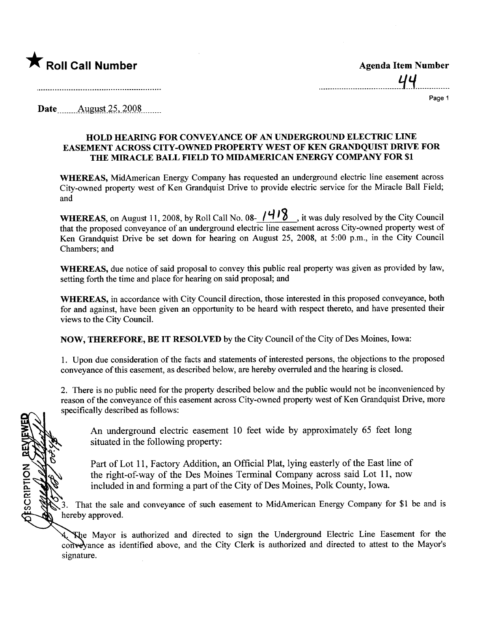

OESCRIPTION

Page 1

Date August 25, 2008

## HOLD HEARING FOR CONVEYANCE OF AN UNDERGROUND ELECTRIC LINE EASEMENT ACROSS CITY-OWNED PROPERTY WEST OF KEN GRANDQUIST DRIVE FOR THE MIRACLE BALL FIELD TO MIDAMERICAN ENERGY COMPANY FOR \$1

WHEREAS, MidAmerican Energy Company has requested an underground electric line easement across City-owned property west of Ken Grandquist Drive to provide electric service for the Miracle Ball Field; and

WHEREAS, on August 11, 2008, by Roll Call No. 08- $\frac{1418}{14}$ , it was duly resolved by the City Council that the proposed conveyance of an underground electric line easement across City-owned property west of Ken Grandquist Drive be set down for hearing on August 25, 2008, at 5:00 p.m., in the City Council Chambers; and

WHEREAS, due notice of said proposal to convey this public real property was given as provided by law, setting forth the time and place for hearing on said proposal; and

WHEREAS, in accordance with City Council direction, those interested in this proposed conveyance, both for and against, have been given an opportnity to be heard with respect thereto, and have presented their views to the City CounciL.

NOW, mEREFORE, BE IT RESOLVED by the City Council of the City of Des Moines, Iowa:

1. Upon due consideration of the facts and statements of interested persons, the objections to the proposed conveyance of this easement, as described below, are hereby overruled and the hearing is closed.

2. There is no public need for the property described below and the public would not be inconvenienced by reason of the conveyance of this easement across City-owned property west of Ken Grandquist Drive, more specifically described as follows:

An underground electric easement 10 feet wide by approximately 65 feet long situated in the following property:

Part of Lot 11, Factory Addition, an Official Plat, lying easterly of the East line of the right-of-way of the Des Moines Terminal Company across said Lot 11, now included in and forming a part of the City of Des Moines, Polk County, Iowa.

3. That the sale and conveyance of such easement to MidAmerican Energy Company for \$1 be and is hereby approved.

The Mayor is authorized and directed to sign the Underground Electric Line Easement for the conveyance as identified above, and the City Clerk is authorized and directed to attest to the Mayor's signature.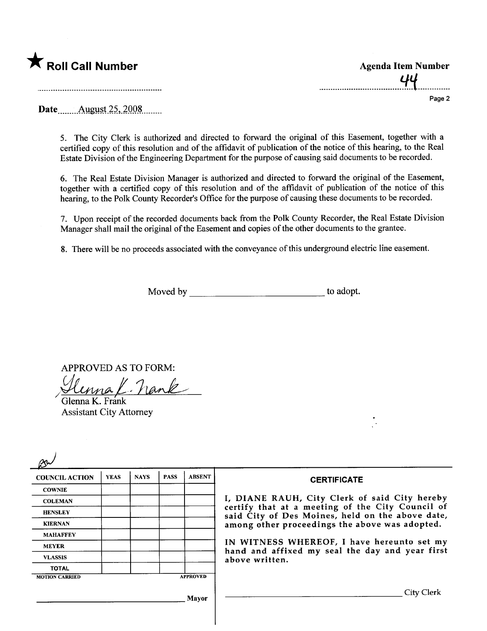

| <b>Agenda Item Number</b> |
|---------------------------|
| UU                        |

Page 2

Date<sub>.......</sub>...August 25, 2008........

5. The City Clerk is authorized and directed to forward the original of this Easement, together with a certified copy of this resolution and of the affidavit of publication of the notice of this hearing, to the Real Estate Division of the Engineering Department for the purpose of causing said documents to be recorded.

6. The Real Estate Division Manager is authorized and directed to forward the original of the Easement, together with a certified copy of this resolution and of the affdavit of publication of the notice of this hearing, to the Polk County Recorder's Office for the purpose of causing these documents to be recorded.

7. Upon receipt of the recorded documents back from the Polk County Recorder, the Real Estate Division Manager shall mail the original of the Easement and copies of the other documents to the grantee.

8. There will be no proceeds associated with the conveyance of this underground electric line easement.

Moved by to adopt.

APPROVED AS TO FORM:

 $\epsilon$  /  $n$  in  $\epsilon$ 

Glenna K. Frán Assistant City Attorney

| <b>COUNCIL ACTION</b> | <b>YEAS</b> | <b>NAYS</b> | <b>PASS</b> | <b>ABSENT</b>   | <b>CERTIFICATE</b>                                                                                                                                     |  |  |  |
|-----------------------|-------------|-------------|-------------|-----------------|--------------------------------------------------------------------------------------------------------------------------------------------------------|--|--|--|
| <b>COWNIE</b>         |             |             |             |                 |                                                                                                                                                        |  |  |  |
| <b>COLEMAN</b>        |             |             |             |                 | I, DIANE RAUH, City Clerk of said City hereby                                                                                                          |  |  |  |
| <b>HENSLEY</b>        |             |             |             |                 | certify that at a meeting of the City Council of<br>said City of Des Moines, held on the above date,<br>among other proceedings the above was adopted. |  |  |  |
| <b>KIERNAN</b>        |             |             |             |                 |                                                                                                                                                        |  |  |  |
| <b>MAHAFFEY</b>       |             |             |             |                 |                                                                                                                                                        |  |  |  |
| <b>MEYER</b>          |             |             |             |                 | IN WITNESS WHEREOF, I have hereunto set my<br>hand and affixed my seal the day and year first<br>above written.                                        |  |  |  |
| <b>VLASSIS</b>        |             |             |             |                 |                                                                                                                                                        |  |  |  |
| <b>TOTAL</b>          |             |             |             |                 |                                                                                                                                                        |  |  |  |
| <b>MOTION CARRIED</b> |             |             |             | <b>APPROVED</b> |                                                                                                                                                        |  |  |  |